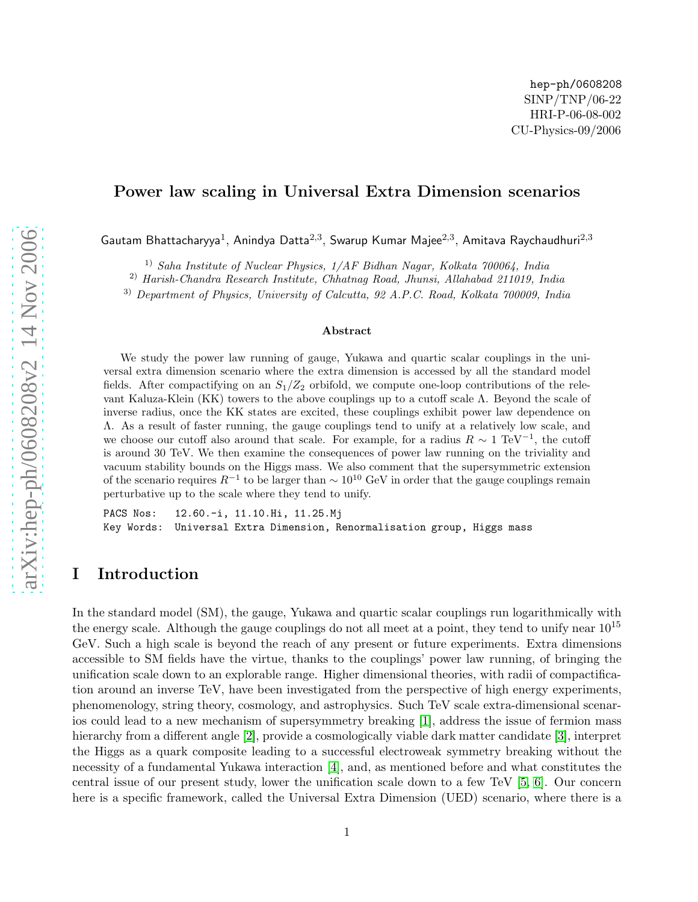### Power law scaling in Universal Extra Dimension scenarios

Gautam Bhattacharyya $^1$ , Anindya Datta $^{2,3}$ , Swarup Kumar Majee $^{2,3}$ , Amitava Raychaudhuri $^{2,3}$ 

1) Saha Institute of Nuclear Physics, 1/AF Bidhan Nagar, Kolkata 700064, India

2) Harish-Chandra Research Institute, Chhatnag Road, Jhunsi, Allahabad 211019, India

<sup>3)</sup> Department of Physics, University of Calcutta, 92 A.P.C. Road, Kolkata 700009, India

#### Abstract

We study the power law running of gauge, Yukawa and quartic scalar couplings in the universal extra dimension scenario where the extra dimension is accessed by all the standard model fields. After compactifying on an  $S_1/Z_2$  orbifold, we compute one-loop contributions of the relevant Kaluza-Klein (KK) towers to the above couplings up to a cutoff scale Λ. Beyond the scale of inverse radius, once the KK states are excited, these couplings exhibit power law dependence on Λ. As a result of faster running, the gauge couplings tend to unify at a relatively low scale, and we choose our cutoff also around that scale. For example, for a radius  $R \sim 1 \text{ TeV}^{-1}$ , the cutoff is around 30 TeV. We then examine the consequences of power law running on the triviality and vacuum stability bounds on the Higgs mass. We also comment that the supersymmetric extension of the scenario requires  $R^{-1}$  to be larger than  $\sim 10^{10}$  GeV in order that the gauge couplings remain perturbative up to the scale where they tend to unify.

PACS Nos: 12.60.-i, 11.10.Hi, 11.25.Mj Key Words: Universal Extra Dimension, Renormalisation group, Higgs mass

# I Introduction

In the standard model (SM), the gauge, Yukawa and quartic scalar couplings run logarithmically with the energy scale. Although the gauge couplings do not all meet at a point, they tend to unify near  $10^{15}$ GeV. Such a high scale is beyond the reach of any present or future experiments. Extra dimensions accessible to SM fields have the virtue, thanks to the couplings' power law running, of bringing the unification scale down to an explorable range. Higher dimensional theories, with radii of compactification around an inverse TeV, have been investigated from the perspective of high energy experiments, phenomenology, string theory, cosmology, and astrophysics. Such TeV scale extra-dimensional scenarios could lead to a new mechanism of supersymmetry breaking [\[1\]](#page-10-0), address the issue of fermion mass hierarchy from a different angle [\[2\]](#page-10-1), provide a cosmologically viable dark matter candidate [\[3\]](#page-10-2), interpret the Higgs as a quark composite leading to a successful electroweak symmetry breaking without the necessity of a fundamental Yukawa interaction [\[4\]](#page-10-3), and, as mentioned before and what constitutes the central issue of our present study, lower the unification scale down to a few TeV [\[5,](#page-10-4) [6\]](#page-10-5). Our concern here is a specific framework, called the Universal Extra Dimension (UED) scenario, where there is a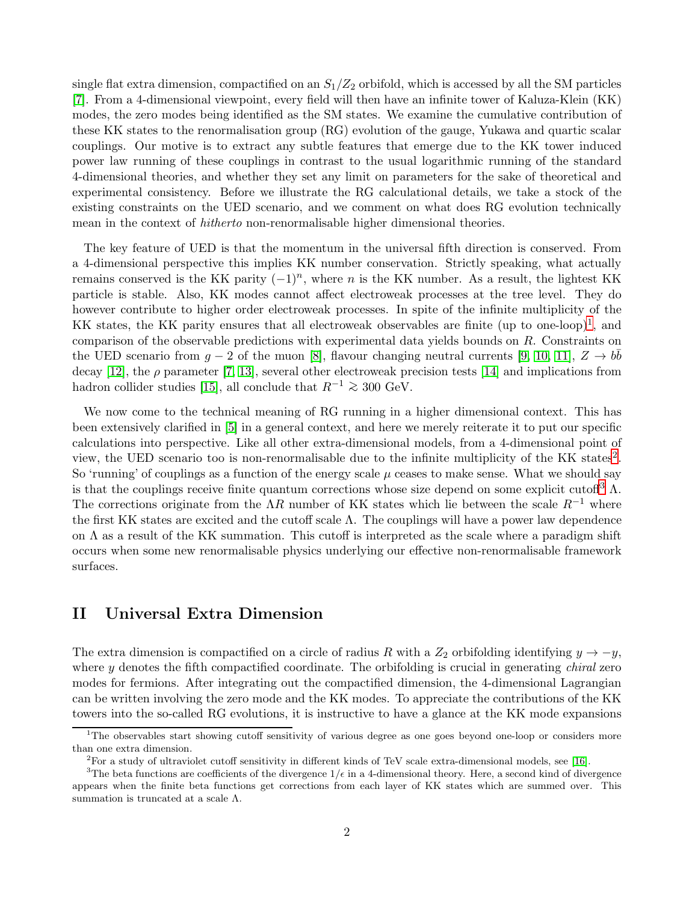single flat extra dimension, compactified on an  $S_1/Z_2$  orbifold, which is accessed by all the SM particles [\[7\]](#page-10-6). From a 4-dimensional viewpoint, every field will then have an infinite tower of Kaluza-Klein (KK) modes, the zero modes being identified as the SM states. We examine the cumulative contribution of these KK states to the renormalisation group (RG) evolution of the gauge, Yukawa and quartic scalar couplings. Our motive is to extract any subtle features that emerge due to the KK tower induced power law running of these couplings in contrast to the usual logarithmic running of the standard 4-dimensional theories, and whether they set any limit on parameters for the sake of theoretical and experimental consistency. Before we illustrate the RG calculational details, we take a stock of the existing constraints on the UED scenario, and we comment on what does RG evolution technically mean in the context of hitherto non-renormalisable higher dimensional theories.

The key feature of UED is that the momentum in the universal fifth direction is conserved. From a 4-dimensional perspective this implies KK number conservation. Strictly speaking, what actually remains conserved is the KK parity  $(-1)^n$ , where n is the KK number. As a result, the lightest KK particle is stable. Also, KK modes cannot affect electroweak processes at the tree level. They do however contribute to higher order electroweak processes. In spite of the infinite multiplicity of the KK states, the KK parity ensures that all electroweak observables are finite (up to one-loop)<sup>[1](#page-1-0)</sup>, and comparison of the observable predictions with experimental data yields bounds on R. Constraints on the UED scenario from  $g-2$  of the muon [\[8\]](#page-10-7), flavour changing neutral currents [\[9,](#page-10-8) [10,](#page-10-9) [11\]](#page-10-10),  $Z \to b\bar{b}$ decay [\[12\]](#page-10-11), the  $\rho$  parameter [\[7,](#page-10-6) [13\]](#page-11-0), several other electroweak precision tests [\[14\]](#page-11-1) and implications from hadron collider studies [\[15\]](#page-11-2), all conclude that  $R^{-1} \ge 300$  GeV.

We now come to the technical meaning of RG running in a higher dimensional context. This has been extensively clarified in [\[5\]](#page-10-4) in a general context, and here we merely reiterate it to put our specific calculations into perspective. Like all other extra-dimensional models, from a 4-dimensional point of view, the UED scenario too is non-renormalisable due to the infinite multiplicity of the KK states<sup>[2](#page-1-1)</sup>. So 'running' of couplings as a function of the energy scale  $\mu$  ceases to make sense. What we should say is that the couplings receive finite quantum corrections whose size depend on some explicit cutoff<sup>[3](#page-1-2)</sup>  $\Lambda$ . The corrections originate from the  $\Lambda R$  number of KK states which lie between the scale  $R^{-1}$  where the first KK states are excited and the cutoff scale Λ. The couplings will have a power law dependence on Λ as a result of the KK summation. This cutoff is interpreted as the scale where a paradigm shift occurs when some new renormalisable physics underlying our effective non-renormalisable framework surfaces.

# II Universal Extra Dimension

The extra dimension is compactified on a circle of radius R with a  $Z_2$  orbifolding identifying  $y \to -y$ , where  $y$  denotes the fifth compactified coordinate. The orbifolding is crucial in generating *chiral* zero modes for fermions. After integrating out the compactified dimension, the 4-dimensional Lagrangian can be written involving the zero mode and the KK modes. To appreciate the contributions of the KK towers into the so-called RG evolutions, it is instructive to have a glance at the KK mode expansions

<sup>1</sup>The observables start showing cutoff sensitivity of various degree as one goes beyond one-loop or considers more than one extra dimension.

<span id="page-1-1"></span><span id="page-1-0"></span><sup>&</sup>lt;sup>2</sup>For a study of ultraviolet cutoff sensitivity in different kinds of TeV scale extra-dimensional models, see [\[16\]](#page-11-3).

<span id="page-1-2"></span><sup>&</sup>lt;sup>3</sup>The beta functions are coefficients of the divergence  $1/\epsilon$  in a 4-dimensional theory. Here, a second kind of divergence appears when the finite beta functions get corrections from each layer of KK states which are summed over. This summation is truncated at a scale  $\Lambda$ .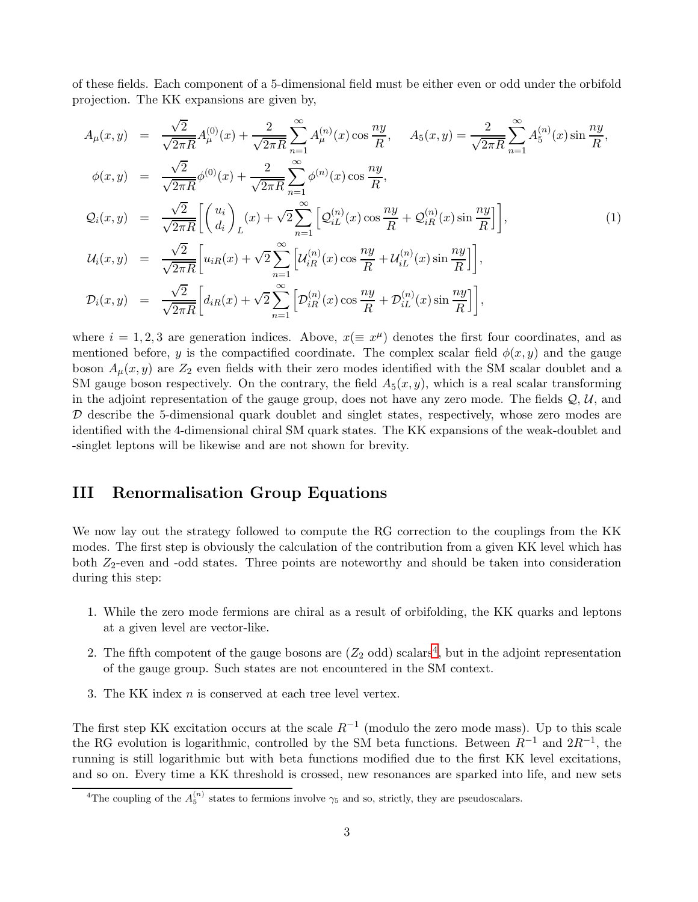of these fields. Each component of a 5-dimensional field must be either even or odd under the orbifold projection. The KK expansions are given by,

$$
A_{\mu}(x,y) = \frac{\sqrt{2}}{\sqrt{2\pi R}} A_{\mu}^{(0)}(x) + \frac{2}{\sqrt{2\pi R}} \sum_{n=1}^{\infty} A_{\mu}^{(n)}(x) \cos \frac{ny}{R}, \quad A_{5}(x,y) = \frac{2}{\sqrt{2\pi R}} \sum_{n=1}^{\infty} A_{5}^{(n)}(x) \sin \frac{ny}{R},
$$
  
\n
$$
\phi(x,y) = \frac{\sqrt{2}}{\sqrt{2\pi R}} \phi^{(0)}(x) + \frac{2}{\sqrt{2\pi R}} \sum_{n=1}^{\infty} \phi^{(n)}(x) \cos \frac{ny}{R},
$$
  
\n
$$
Q_{i}(x,y) = \frac{\sqrt{2}}{\sqrt{2\pi R}} \left[ \begin{pmatrix} u_{i} \\ d_{i} \end{pmatrix}_{L}(x) + \sqrt{2} \sum_{n=1}^{\infty} \left[ \mathcal{Q}_{iL}^{(n)}(x) \cos \frac{ny}{R} + \mathcal{Q}_{iR}^{(n)}(x) \sin \frac{ny}{R} \right] \right],
$$
  
\n
$$
U_{i}(x,y) = \frac{\sqrt{2}}{\sqrt{2\pi R}} \left[ u_{iR}(x) + \sqrt{2} \sum_{n=1}^{\infty} \left[ \mathcal{U}_{iR}^{(n)}(x) \cos \frac{ny}{R} + \mathcal{U}_{iL}^{(n)}(x) \sin \frac{ny}{R} \right] \right],
$$
  
\n
$$
\mathcal{D}_{i}(x,y) = \frac{\sqrt{2}}{\sqrt{2\pi R}} \left[ d_{iR}(x) + \sqrt{2} \sum_{n=1}^{\infty} \left[ \mathcal{D}_{iR}^{(n)}(x) \cos \frac{ny}{R} + \mathcal{D}_{iL}^{(n)}(x) \sin \frac{ny}{R} \right] \right],
$$
  
\n(1)

where  $i = 1, 2, 3$  are generation indices. Above,  $x (\equiv x^{\mu})$  denotes the first four coordinates, and as mentioned before, y is the compactified coordinate. The complex scalar field  $\phi(x, y)$  and the gauge boson  $A_\mu(x, y)$  are  $Z_2$  even fields with their zero modes identified with the SM scalar doublet and a SM gauge boson respectively. On the contrary, the field  $A_5(x, y)$ , which is a real scalar transforming in the adjoint representation of the gauge group, does not have any zero mode. The fields  $\mathcal{Q}, \mathcal{U}$ , and  $D$  describe the 5-dimensional quark doublet and singlet states, respectively, whose zero modes are identified with the 4-dimensional chiral SM quark states. The KK expansions of the weak-doublet and -singlet leptons will be likewise and are not shown for brevity.

# III Renormalisation Group Equations

We now lay out the strategy followed to compute the RG correction to the couplings from the KK modes. The first step is obviously the calculation of the contribution from a given KK level which has both  $Z_2$ -even and -odd states. Three points are noteworthy and should be taken into consideration during this step:

- 1. While the zero mode fermions are chiral as a result of orbifolding, the KK quarks and leptons at a given level are vector-like.
- 2. The fifth compotent of the gauge bosons are  $(Z_2 \text{ odd})$  scalars<sup>[4](#page-2-0)</sup>, but in the adjoint representation of the gauge group. Such states are not encountered in the SM context.
- 3. The KK index n is conserved at each tree level vertex.

The first step KK excitation occurs at the scale  $R^{-1}$  (modulo the zero mode mass). Up to this scale the RG evolution is logarithmic, controlled by the SM beta functions. Between  $R^{-1}$  and  $2R^{-1}$ , the running is still logarithmic but with beta functions modified due to the first KK level excitations, and so on. Every time a KK threshold is crossed, new resonances are sparked into life, and new sets

<span id="page-2-0"></span><sup>&</sup>lt;sup>4</sup>The coupling of the  $A_5^{(n)}$  states to fermions involve  $\gamma_5$  and so, strictly, they are pseudoscalars.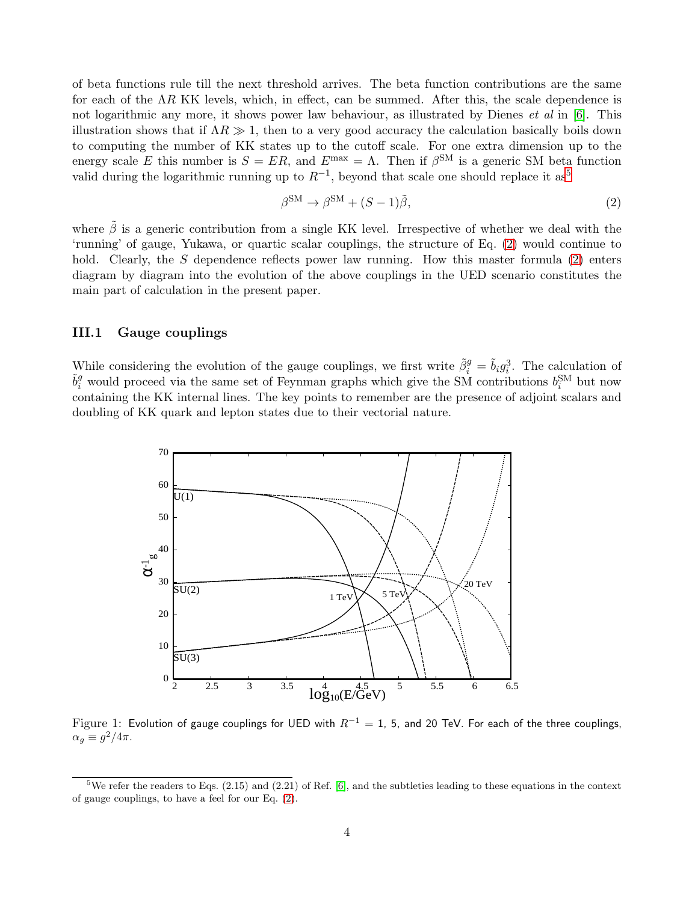of beta functions rule till the next threshold arrives. The beta function contributions are the same for each of the  $\Lambda R$  KK levels, which, in effect, can be summed. After this, the scale dependence is not logarithmic any more, it shows power law behaviour, as illustrated by Dienes *et al* in [\[6\]](#page-10-5). This illustration shows that if  $\Lambda R \gg 1$ , then to a very good accuracy the calculation basically boils down to computing the number of KK states up to the cutoff scale. For one extra dimension up to the energy scale E this number is  $S = ER$ , and  $E^{\text{max}} = \Lambda$ . Then if  $\beta^{\text{SM}}$  is a generic SM beta function valid during the logarithmic running up to  $R^{-1}$ , beyond that scale one should replace it as<sup>[5](#page-3-0)</sup>

<span id="page-3-1"></span>
$$
\beta^{\rm SM} \to \beta^{\rm SM} + (S - 1)\tilde{\beta},\tag{2}
$$

where  $\tilde{\beta}$  is a generic contribution from a single KK level. Irrespective of whether we deal with the 'running' of gauge, Yukawa, or quartic scalar couplings, the structure of Eq. [\(2\)](#page-3-1) would continue to hold. Clearly, the S dependence reflects power law running. How this master formula  $(2)$  enters diagram by diagram into the evolution of the above couplings in the UED scenario constitutes the main part of calculation in the present paper.

#### III.1 Gauge couplings

While considering the evolution of the gauge couplings, we first write  $\tilde{\beta}_i^g = \tilde{b}_i g_i^3$ . The calculation of  $\tilde{b}_i^g$  would proceed via the same set of Feynman graphs which give the SM contributions  $b_i^{SM}$  but now containing the KK internal lines. The key points to remember are the presence of adjoint scalars and doubling of KK quark and lepton states due to their vectorial nature.



<span id="page-3-2"></span>Figure 1: Evolution of gauge couplings for UED with  $R^{-1} = 1$ , 5, and 20 TeV. For each of the three couplings,  $\alpha_g \equiv g^2/4\pi$ .

<span id="page-3-0"></span><sup>&</sup>lt;sup>5</sup>We refer the readers to Eqs.  $(2.15)$  and  $(2.21)$  of Ref. [\[6\]](#page-10-5), and the subtleties leading to these equations in the context of gauge couplings, to have a feel for our Eq. [\(2\)](#page-3-1).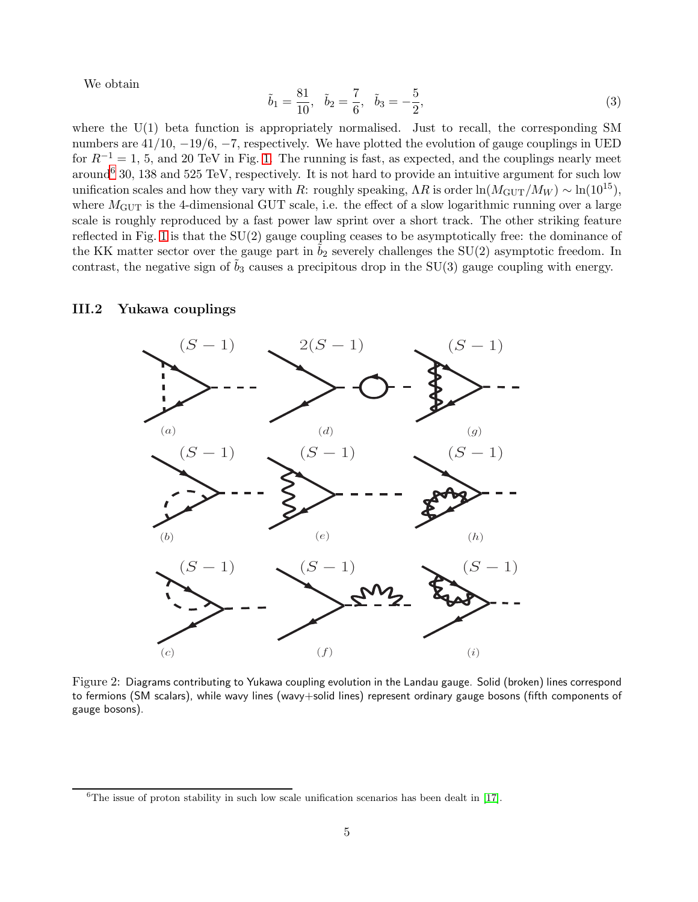We obtain

$$
\tilde{b}_1 = \frac{81}{10}, \quad \tilde{b}_2 = \frac{7}{6}, \quad \tilde{b}_3 = -\frac{5}{2},
$$
\n(3)

where the  $U(1)$  beta function is appropriately normalised. Just to recall, the corresponding SM numbers are 41/10, −19/6, −7, respectively. We have plotted the evolution of gauge couplings in UED for  $R^{-1} = 1$ , 5, and 20 TeV in Fig. [1.](#page-3-2) The running is fast, as expected, and the couplings nearly meet around<sup>[6](#page-4-0)</sup> 30, 138 and 525 TeV, respectively. It is not hard to provide an intuitive argument for such low unification scales and how they vary with R: roughly speaking,  $\Lambda R$  is order  $\ln(M_{\text{GUT}}/M_W) \sim \ln(10^{15})$ , where  $M<sub>GUT</sub>$  is the 4-dimensional GUT scale, i.e. the effect of a slow logarithmic running over a large scale is roughly reproduced by a fast power law sprint over a short track. The other striking feature reflected in Fig. [1](#page-3-2) is that the SU(2) gauge coupling ceases to be asymptotically free: the dominance of the KK matter sector over the gauge part in  $b_2$  severely challenges the SU(2) asymptotic freedom. In contrast, the negative sign of  $b_3$  causes a precipitous drop in the SU(3) gauge coupling with energy.

### III.2 Yukawa couplings



<span id="page-4-1"></span>Figure 2: Diagrams contributing to Yukawa coupling evolution in the Landau gauge. Solid (broken) lines correspond to fermions (SM scalars), while wavy lines (wavy+solid lines) represent ordinary gauge bosons (fifth components of gauge bosons).

<span id="page-4-0"></span> ${}^{6}$ The issue of proton stability in such low scale unification scenarios has been dealt in [\[17\]](#page-11-4).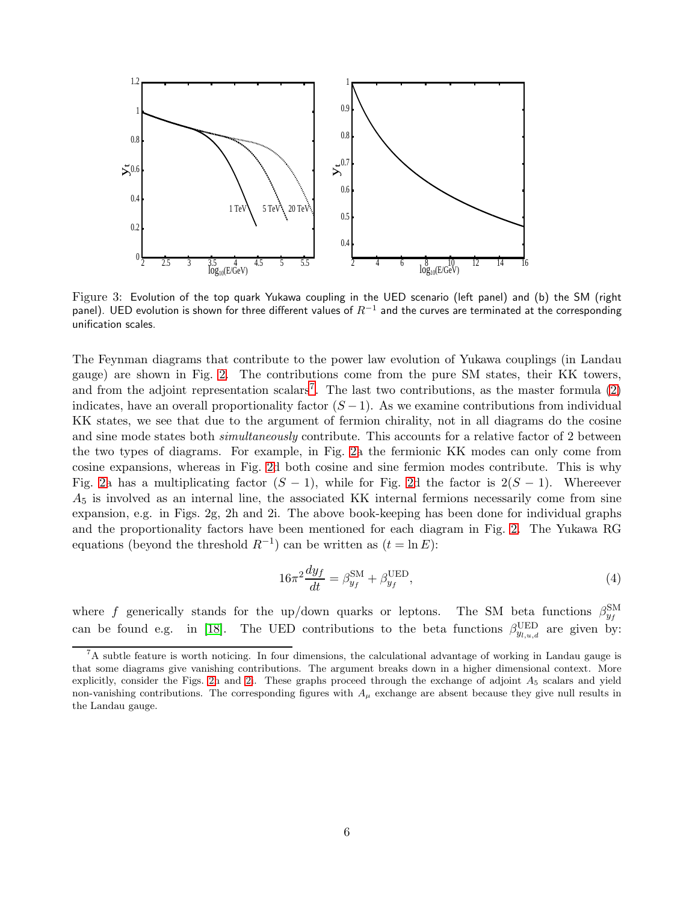

<span id="page-5-1"></span>Figure 3: Evolution of the top quark Yukawa coupling in the UED scenario (left panel) and (b) the SM (right panel). UED evolution is shown for three different values of  $R^{-1}$  and the curves are terminated at the corresponding unification scales.

The Feynman diagrams that contribute to the power law evolution of Yukawa couplings (in Landau gauge) are shown in Fig. [2.](#page-4-1) The contributions come from the pure SM states, their KK towers, and from the adjoint representation scalars<sup>[7](#page-5-0)</sup>. The last two contributions, as the master formula  $(2)$ indicates, have an overall proportionality factor  $(S - 1)$ . As we examine contributions from individual KK states, we see that due to the argument of fermion chirality, not in all diagrams do the cosine and sine mode states both *simultaneously* contribute. This accounts for a relative factor of 2 between the two types of diagrams. For example, in Fig. [2a](#page-4-1) the fermionic KK modes can only come from cosine expansions, whereas in Fig. [2d](#page-4-1) both cosine and sine fermion modes contribute. This is why Fig. [2a](#page-4-1) has a multiplicating factor  $(S - 1)$ , while for Fig. [2d](#page-4-1) the factor is  $2(S - 1)$ . Whereever  $A<sub>5</sub>$  is involved as an internal line, the associated KK internal fermions necessarily come from sine expansion, e.g. in Figs. 2g, 2h and 2i. The above book-keeping has been done for individual graphs and the proportionality factors have been mentioned for each diagram in Fig. [2.](#page-4-1) The Yukawa RG equations (beyond the threshold  $R^{-1}$ ) can be written as  $(t = \ln E)$ :

$$
16\pi^2 \frac{dy_f}{dt} = \beta_{y_f}^{\text{SM}} + \beta_{y_f}^{\text{UED}},\tag{4}
$$

where f generically stands for the up/down quarks or leptons. The SM beta functions  $\beta_{y_f}^{\text{SM}}$ can be found e.g. in [\[18\]](#page-11-5). The UED contributions to the beta functions  $\beta_{y_{l,u,d}}^{\text{UED}}$  are given by:

<span id="page-5-0"></span><sup>7</sup>A subtle feature is worth noticing. In four dimensions, the calculational advantage of working in Landau gauge is that some diagrams give vanishing contributions. The argument breaks down in a higher dimensional context. More explicitly, consider the Figs. [2h](#page-4-1) and [2i](#page-4-1). These graphs proceed through the exchange of adjoint  $A_5$  scalars and yield non-vanishing contributions. The corresponding figures with  $A_\mu$  exchange are absent because they give null results in the Landau gauge.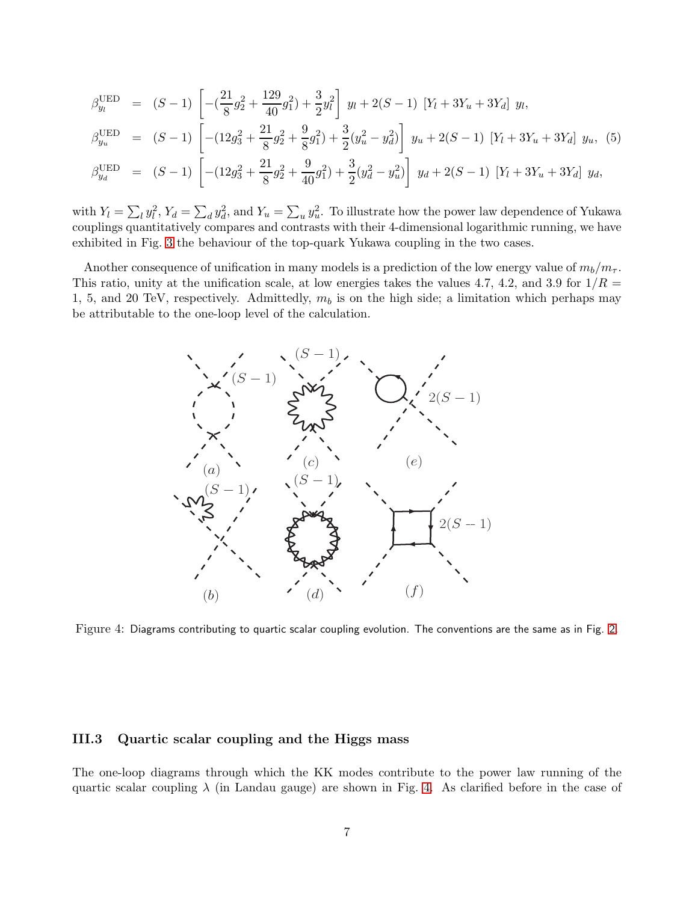$$
\beta_{y_l}^{\text{UED}} = (S-1) \left[ -(\frac{21}{8}g_2^2 + \frac{129}{40}g_1^2) + \frac{3}{2}y_l^2 \right] y_l + 2(S-1) [Y_l + 3Y_u + 3Y_d] y_l,
$$
\n
$$
\beta_{y_u}^{\text{UED}} = (S-1) \left[ -(12g_3^2 + \frac{21}{8}g_2^2 + \frac{9}{8}g_1^2) + \frac{3}{2}(y_u^2 - y_d^2) \right] y_u + 2(S-1) [Y_l + 3Y_u + 3Y_d] y_u, (5)
$$
\n
$$
\beta_{y_d}^{\text{UED}} = (S-1) \left[ -(12g_3^2 + \frac{21}{8}g_2^2 + \frac{9}{40}g_1^2) + \frac{3}{2}(y_d^2 - y_u^2) \right] y_d + 2(S-1) [Y_l + 3Y_u + 3Y_d] y_d,
$$

with  $Y_l = \sum_l y_l^2$ ,  $Y_d = \sum_d y_d^2$ , and  $Y_u = \sum_u y_u^2$ . To illustrate how the power law dependence of Yukawa couplings quantitatively compares and contrasts with their 4-dimensional logarithmic running, we have exhibited in Fig. [3](#page-5-1) the behaviour of the top-quark Yukawa coupling in the two cases.

Another consequence of unification in many models is a prediction of the low energy value of  $m_b/m_{\tau}$ . This ratio, unity at the unification scale, at low energies takes the values 4.7, 4.2, and 3.9 for  $1/R =$ 1, 5, and 20 TeV, respectively. Admittedly,  $m_b$  is on the high side; a limitation which perhaps may be attributable to the one-loop level of the calculation.



<span id="page-6-0"></span>Figure 4: Diagrams contributing to quartic scalar coupling evolution. The conventions are the same as in Fig. [2.](#page-4-1)

### III.3 Quartic scalar coupling and the Higgs mass

The one-loop diagrams through which the KK modes contribute to the power law running of the quartic scalar coupling  $\lambda$  (in Landau gauge) are shown in Fig. [4.](#page-6-0) As clarified before in the case of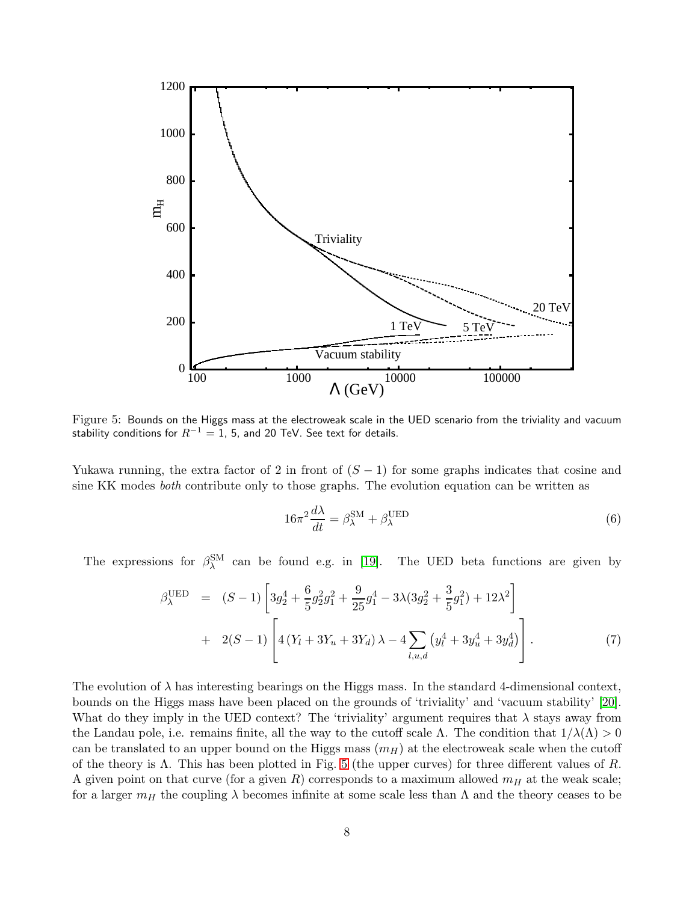

<span id="page-7-0"></span>Figure 5: Bounds on the Higgs mass at the electroweak scale in the UED scenario from the triviality and vacuum stability conditions for  $R^{-1} = 1$ , 5, and 20 TeV. See text for details.

Yukawa running, the extra factor of 2 in front of  $(S - 1)$  for some graphs indicates that cosine and sine KK modes both contribute only to those graphs. The evolution equation can be written as

$$
16\pi^2 \frac{d\lambda}{dt} = \beta_{\lambda}^{\text{SM}} + \beta_{\lambda}^{\text{UED}} \tag{6}
$$

The expressions for  $\beta_{\lambda}^{SM}$  can be found e.g. in [\[19\]](#page-11-6). The UED beta functions are given by

$$
\beta_{\lambda}^{\text{UED}} = (S-1) \left[ 3g_2^4 + \frac{6}{5} g_2^2 g_1^2 + \frac{9}{25} g_1^4 - 3\lambda (3g_2^2 + \frac{3}{5} g_1^2) + 12\lambda^2 \right] + 2(S-1) \left[ 4 \left( Y_l + 3Y_u + 3Y_d \right) \lambda - 4 \sum_{l,u,d} \left( y_l^4 + 3y_u^4 + 3y_d^4 \right) \right].
$$
 (7)

The evolution of  $\lambda$  has interesting bearings on the Higgs mass. In the standard 4-dimensional context, bounds on the Higgs mass have been placed on the grounds of 'triviality' and 'vacuum stability' [\[20\]](#page-11-7). What do they imply in the UED context? The 'triviality' argument requires that  $\lambda$  stays away from the Landau pole, i.e. remains finite, all the way to the cutoff scale Λ. The condition that  $1/\lambda(\Lambda) > 0$ can be translated to an upper bound on the Higgs mass  $(m_H)$  at the electroweak scale when the cutoff of the theory is  $\Lambda$ . This has been plotted in Fig. [5](#page-7-0) (the upper curves) for three different values of  $R$ . A given point on that curve (for a given R) corresponds to a maximum allowed  $m<sub>H</sub>$  at the weak scale; for a larger  $m_H$  the coupling  $\lambda$  becomes infinite at some scale less than  $\Lambda$  and the theory ceases to be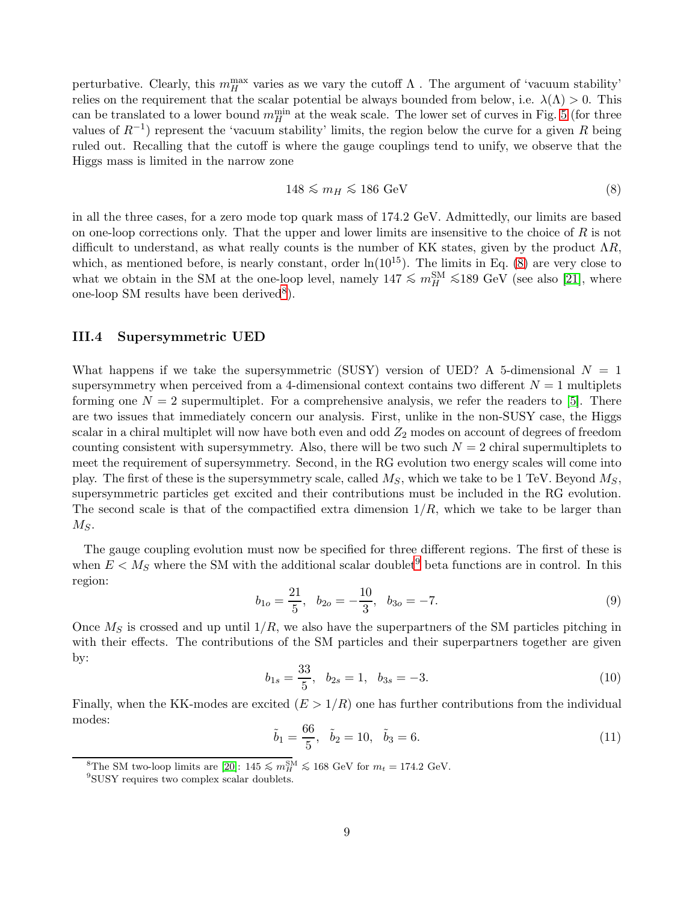perturbative. Clearly, this  $m_H^{\text{max}}$  varies as we vary the cutoff  $\Lambda$  . The argument of 'vacuum stability' relies on the requirement that the scalar potential be always bounded from below, i.e.  $\lambda(\Lambda) > 0$ . This can be translated to a lower bound  $m_H^{\text{min}}$  at the weak scale. The lower set of curves in Fig. [5](#page-7-0) (for three values of  $R^{-1}$ ) represent the 'vacuum stability' limits, the region below the curve for a given R being ruled out. Recalling that the cutoff is where the gauge couplings tend to unify, we observe that the Higgs mass is limited in the narrow zone

<span id="page-8-0"></span>
$$
148 \lesssim m_H \lesssim 186 \text{ GeV}
$$
 (8)

in all the three cases, for a zero mode top quark mass of 174.2 GeV. Admittedly, our limits are based on one-loop corrections only. That the upper and lower limits are insensitive to the choice of  $R$  is not difficult to understand, as what really counts is the number of KK states, given by the product  $\Lambda R$ , which, as mentioned before, is nearly constant, order  $\ln(10^{15})$ . The limits in Eq. [\(8\)](#page-8-0) are very close to what we obtain in the SM at the one-loop level, namely  $147 \le m_H^{\rm SM} \le 189$  GeV (see also [\[21\]](#page-11-8), where one-loop SM results have been derived<sup>[8](#page-8-1)</sup>).

#### III.4 Supersymmetric UED

What happens if we take the supersymmetric (SUSY) version of UED? A 5-dimensional  $N = 1$ supersymmetry when perceived from a 4-dimensional context contains two different  $N = 1$  multiplets forming one  $N = 2$  supermultiplet. For a comprehensive analysis, we refer the readers to [\[5\]](#page-10-4). There are two issues that immediately concern our analysis. First, unlike in the non-SUSY case, the Higgs scalar in a chiral multiplet will now have both even and odd  $Z_2$  modes on account of degrees of freedom counting consistent with supersymmetry. Also, there will be two such  $N = 2$  chiral supermultiplets to meet the requirement of supersymmetry. Second, in the RG evolution two energy scales will come into play. The first of these is the supersymmetry scale, called  $M_S$ , which we take to be 1 TeV. Beyond  $M_S$ , supersymmetric particles get excited and their contributions must be included in the RG evolution. The second scale is that of the compactified extra dimension  $1/R$ , which we take to be larger than  $M_S$ .

The gauge coupling evolution must now be specified for three different regions. The first of these is when  $E < M_S$  where the SM with the additional scalar doublet<sup>[9](#page-8-2)</sup> beta functions are in control. In this region:

$$
b_{1o} = \frac{21}{5}, \quad b_{2o} = -\frac{10}{3}, \quad b_{3o} = -7. \tag{9}
$$

Once  $M<sub>S</sub>$  is crossed and up until  $1/R$ , we also have the superpartners of the SM particles pitching in with their effects. The contributions of the SM particles and their superpartners together are given by:

<span id="page-8-3"></span>
$$
b_{1s} = \frac{33}{5}, \quad b_{2s} = 1, \quad b_{3s} = -3. \tag{10}
$$

Finally, when the KK-modes are excited  $(E > 1/R)$  one has further contributions from the individual modes:

<span id="page-8-4"></span>
$$
\tilde{b}_1 = \frac{66}{5}, \quad \tilde{b}_2 = 10, \quad \tilde{b}_3 = 6.
$$
\n(11)

<sup>8</sup>The SM two-loop limits are [\[20\]](#page-11-7):  $145 \lesssim m_H^{\text{SM}} \lesssim 168 \text{ GeV}$  for  $m_t = 174.2 \text{ GeV}$ .

<span id="page-8-2"></span><span id="page-8-1"></span><sup>9</sup> SUSY requires two complex scalar doublets.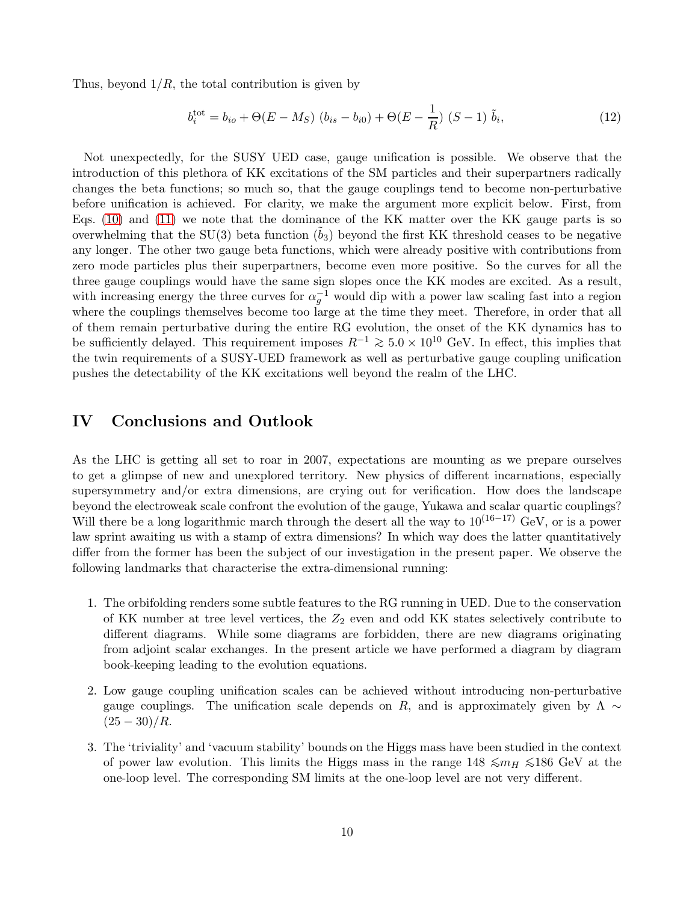Thus, beyond  $1/R$ , the total contribution is given by

$$
b_i^{\text{tot}} = b_{io} + \Theta(E - M_S) (b_{is} - b_{i0}) + \Theta(E - \frac{1}{R}) (S - 1) \tilde{b}_i,
$$
 (12)

Not unexpectedly, for the SUSY UED case, gauge unification is possible. We observe that the introduction of this plethora of KK excitations of the SM particles and their superpartners radically changes the beta functions; so much so, that the gauge couplings tend to become non-perturbative before unification is achieved. For clarity, we make the argument more explicit below. First, from Eqs. [\(10\)](#page-8-3) and [\(11\)](#page-8-4) we note that the dominance of the KK matter over the KK gauge parts is so overwhelming that the  $SU(3)$  beta function  $(b_3)$  beyond the first KK threshold ceases to be negative any longer. The other two gauge beta functions, which were already positive with contributions from zero mode particles plus their superpartners, become even more positive. So the curves for all the three gauge couplings would have the same sign slopes once the KK modes are excited. As a result, with increasing energy the three curves for  $\alpha_g^{-1}$  would dip with a power law scaling fast into a region where the couplings themselves become too large at the time they meet. Therefore, in order that all of them remain perturbative during the entire RG evolution, the onset of the KK dynamics has to be sufficiently delayed. This requirement imposes  $R^{-1} \ge 5.0 \times 10^{10}$  GeV. In effect, this implies that the twin requirements of a SUSY-UED framework as well as perturbative gauge coupling unification pushes the detectability of the KK excitations well beyond the realm of the LHC.

# IV Conclusions and Outlook

As the LHC is getting all set to roar in 2007, expectations are mounting as we prepare ourselves to get a glimpse of new and unexplored territory. New physics of different incarnations, especially supersymmetry and/or extra dimensions, are crying out for verification. How does the landscape beyond the electroweak scale confront the evolution of the gauge, Yukawa and scalar quartic couplings? Will there be a long logarithmic march through the desert all the way to  $10^{(16-17)}$  GeV, or is a power law sprint awaiting us with a stamp of extra dimensions? In which way does the latter quantitatively differ from the former has been the subject of our investigation in the present paper. We observe the following landmarks that characterise the extra-dimensional running:

- 1. The orbifolding renders some subtle features to the RG running in UED. Due to the conservation of KK number at tree level vertices, the  $Z_2$  even and odd KK states selectively contribute to different diagrams. While some diagrams are forbidden, there are new diagrams originating from adjoint scalar exchanges. In the present article we have performed a diagram by diagram book-keeping leading to the evolution equations.
- 2. Low gauge coupling unification scales can be achieved without introducing non-perturbative gauge couplings. The unification scale depends on R, and is approximately given by  $\Lambda \sim$  $(25 - 30)/R$ .
- 3. The 'triviality' and 'vacuum stability' bounds on the Higgs mass have been studied in the context of power law evolution. This limits the Higgs mass in the range 148  $\leq m_H \leq 186$  GeV at the one-loop level. The corresponding SM limits at the one-loop level are not very different.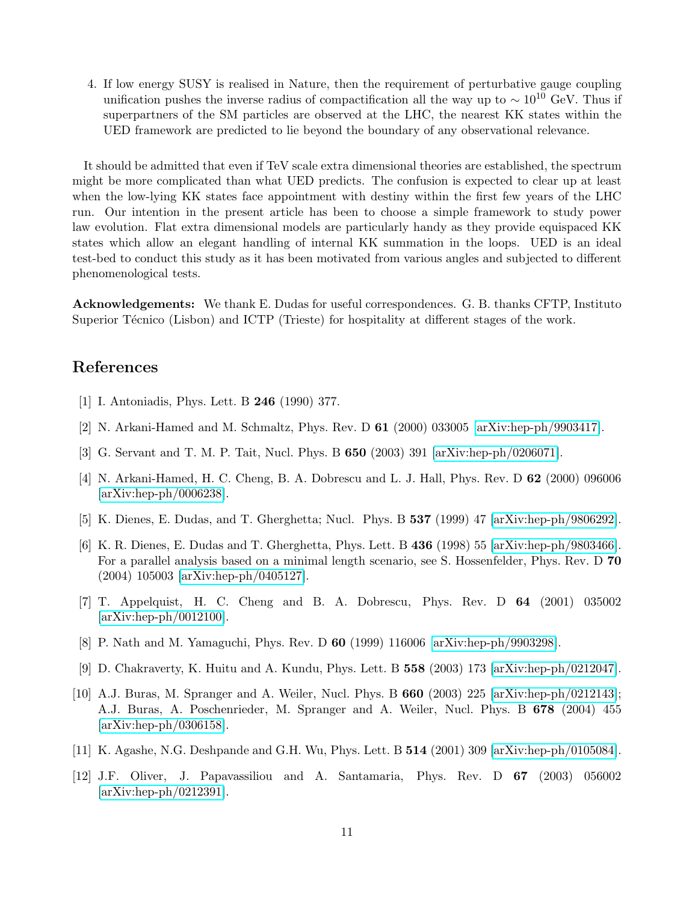4. If low energy SUSY is realised in Nature, then the requirement of perturbative gauge coupling unification pushes the inverse radius of compactification all the way up to  $\sim 10^{10}$  GeV. Thus if superpartners of the SM particles are observed at the LHC, the nearest KK states within the UED framework are predicted to lie beyond the boundary of any observational relevance.

It should be admitted that even if TeV scale extra dimensional theories are established, the spectrum might be more complicated than what UED predicts. The confusion is expected to clear up at least when the low-lying KK states face appointment with destiny within the first few years of the LHC run. Our intention in the present article has been to choose a simple framework to study power law evolution. Flat extra dimensional models are particularly handy as they provide equispaced KK states which allow an elegant handling of internal KK summation in the loops. UED is an ideal test-bed to conduct this study as it has been motivated from various angles and subjected to different phenomenological tests.

Acknowledgements: We thank E. Dudas for useful correspondences. G. B. thanks CFTP, Instituto Superior Técnico (Lisbon) and ICTP (Trieste) for hospitality at different stages of the work.

### <span id="page-10-0"></span>References

- <span id="page-10-1"></span>[1] I. Antoniadis, Phys. Lett. B 246 (1990) 377.
- <span id="page-10-2"></span>[2] N. Arkani-Hamed and M. Schmaltz, Phys. Rev. D 61 (2000) 033005 [\[arXiv:hep-ph/9903417\]](http://arxiv.org/abs/hep-ph/9903417).
- <span id="page-10-3"></span>[3] G. Servant and T. M. P. Tait, Nucl. Phys. B 650 (2003) 391 [\[arXiv:hep-ph/0206071\]](http://arxiv.org/abs/hep-ph/0206071).
- [4] N. Arkani-Hamed, H. C. Cheng, B. A. Dobrescu and L. J. Hall, Phys. Rev. D 62 (2000) 096006 [\[arXiv:hep-ph/0006238\]](http://arxiv.org/abs/hep-ph/0006238).
- <span id="page-10-5"></span><span id="page-10-4"></span>[5] K. Dienes, E. Dudas, and T. Gherghetta; Nucl. Phys. B 537 (1999) 47 [\[arXiv:hep-ph/9806292\]](http://arxiv.org/abs/hep-ph/9806292).
- [6] K. R. Dienes, E. Dudas and T. Gherghetta, Phys. Lett. B 436 (1998) 55 [\[arXiv:hep-ph/9803466\]](http://arxiv.org/abs/hep-ph/9803466). For a parallel analysis based on a minimal length scenario, see S. Hossenfelder, Phys. Rev. D 70 (2004) 105003 [\[arXiv:hep-ph/0405127\]](http://arxiv.org/abs/hep-ph/0405127).
- <span id="page-10-6"></span>[7] T. Appelquist, H. C. Cheng and B. A. Dobrescu, Phys. Rev. D 64 (2001) 035002 [\[arXiv:hep-ph/0012100\]](http://arxiv.org/abs/hep-ph/0012100).
- <span id="page-10-8"></span><span id="page-10-7"></span>[8] P. Nath and M. Yamaguchi, Phys. Rev. D 60 (1999) 116006 [\[arXiv:hep-ph/9903298\]](http://arxiv.org/abs/hep-ph/9903298).
- <span id="page-10-9"></span>[9] D. Chakraverty, K. Huitu and A. Kundu, Phys. Lett. B 558 (2003) 173 [\[arXiv:hep-ph/0212047\]](http://arxiv.org/abs/hep-ph/0212047).
- [10] A.J. Buras, M. Spranger and A. Weiler, Nucl. Phys. B 660 (2003) 225 [\[arXiv:hep-ph/0212143\]](http://arxiv.org/abs/hep-ph/0212143); A.J. Buras, A. Poschenrieder, M. Spranger and A. Weiler, Nucl. Phys. B 678 (2004) 455 [\[arXiv:hep-ph/0306158\]](http://arxiv.org/abs/hep-ph/0306158).
- <span id="page-10-11"></span><span id="page-10-10"></span>[11] K. Agashe, N.G. Deshpande and G.H. Wu, Phys. Lett. B 514 (2001) 309 [\[arXiv:hep-ph/0105084\]](http://arxiv.org/abs/hep-ph/0105084).
- [12] J.F. Oliver, J. Papavassiliou and A. Santamaria, Phys. Rev. D 67 (2003) 056002 [\[arXiv:hep-ph/0212391\]](http://arxiv.org/abs/hep-ph/0212391).